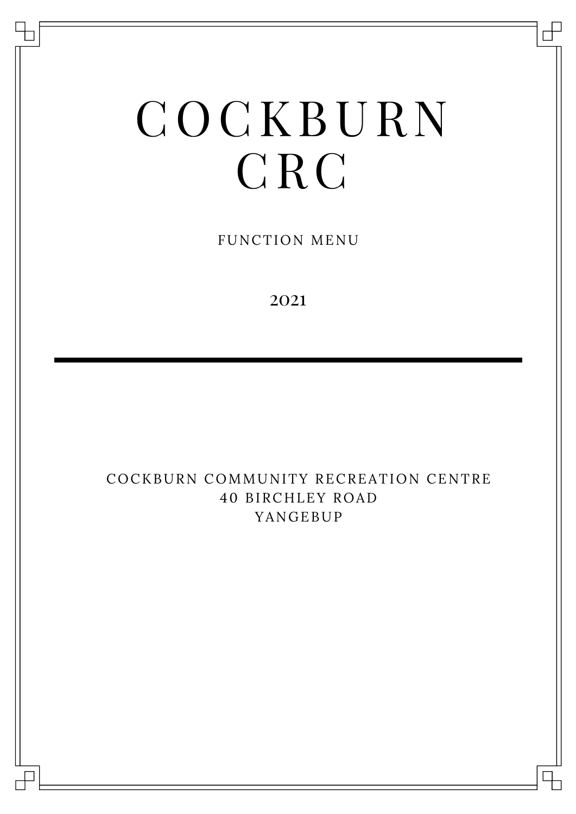# COCKBURN CRC

FUNCTION MENU

2021

#### COCKBURN COMMUNITY RECREATION CENTRE 40 BIRCHLEY ROAD YANGEBUP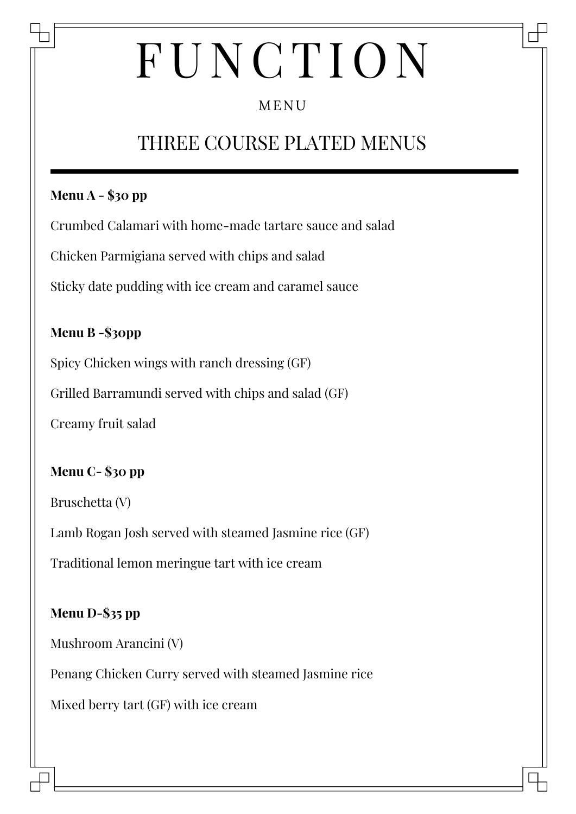## MENU

# THREE COURSE PLATED MENUS

#### **Menu A - \$30 pp**

Crumbed Calamari with home-made tartare sauce and salad

Chicken Parmigiana served with chips and salad

Sticky date pudding with ice cream and caramel sauce

#### **Menu B -\$30pp**

Spicy Chicken wings with ranch dressing (GF)

Grilled Barramundi served with chips and salad (GF)

Creamy fruit salad

#### **Menu C- \$30 pp**

Bruschetta (V)

Lamb Rogan Josh served with steamed Jasmine rice (GF)

Traditional lemon meringue tart with ice cream

### **Menu D-\$35 pp**

Mushroom Arancini (V)

Penang Chicken Curry served with steamed Jasmine rice

Mixed berry tart (GF) with ice cream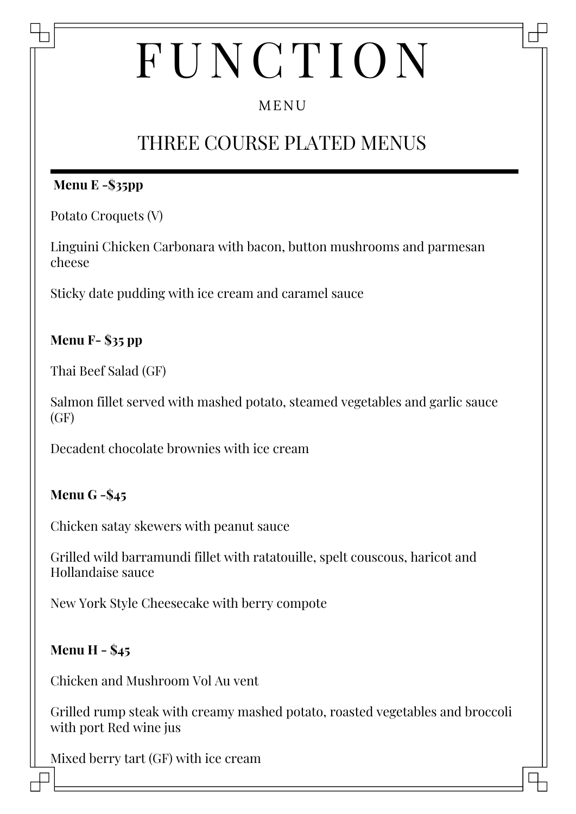## MENU

# THREE COURSE PLATED MENUS

#### **Menu E -\$35pp**

Potato Croquets (V)

Linguini Chicken Carbonara with bacon, button mushrooms and parmesan cheese

Sticky date pudding with ice cream and caramel sauce

### **Menu F- \$35 pp**

Thai Beef Salad (GF)

Salmon fillet served with mashed potato, steamed vegetables and garlic sauce  $(GF)$ 

Decadent chocolate brownies with ice cream

#### **Menu G -\$45**

Chicken satay skewers with peanut sauce

Grilled wild barramundi fillet with ratatouille, spelt couscous, haricot and Hollandaise sauce

New York Style Cheesecake with berry compote

#### **Menu H - \$45**

Chicken and Mushroom Vol Au vent

Grilled rump steak with creamy mashed potato, roasted vegetables and broccoli with port Red wine jus

Mixed berry tart (GF) with ice cream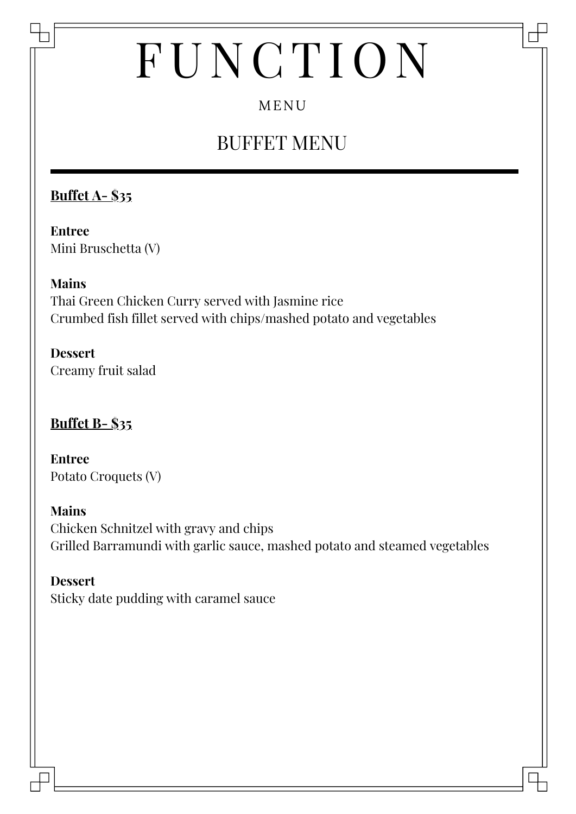# MENU

# BUFFET MENU

### **Buffet A- \$35**

**Entree** Mini Bruschetta (V)

#### **Mains**

Thai Green Chicken Curry served with Jasmine rice Crumbed fish fillet served with chips/mashed potato and vegetables

**Dessert** Creamy fruit salad

#### **Buffet B- \$35**

**Entree** Potato Croquets (V)

#### **Mains**

Chicken Schnitzel with gravy and chips Grilled Barramundi with garlic sauce, mashed potato and steamed vegetables

#### **Dessert**

Sticky date pudding with caramel sauce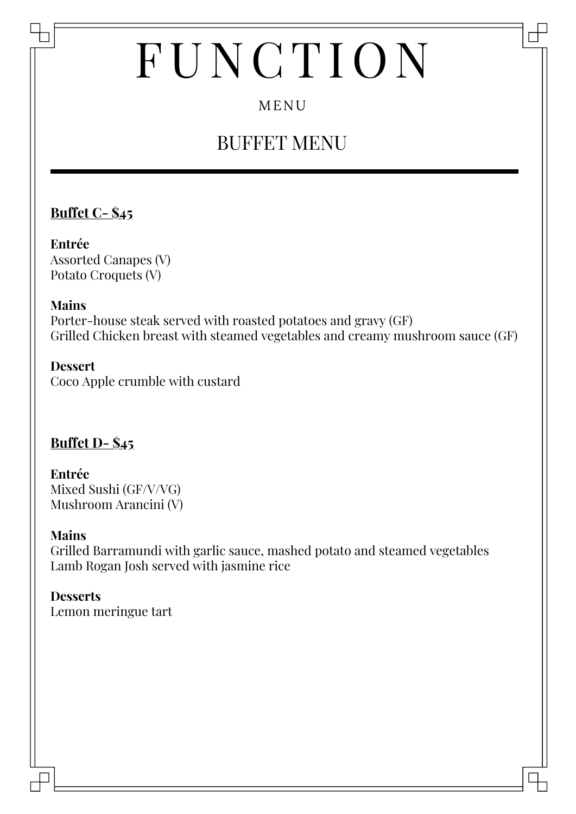## MENU

# BUFFET MENU

### **Buffet C- \$45**

**Entrée** Assorted Canapes (V) Potato Croquets (V)

#### **Mains**

Porter-house steak served with roasted potatoes and gravy (GF) Grilled Chicken breast with steamed vegetables and creamy mushroom sauce (GF)

#### **Dessert** Coco Apple crumble with custard

### **Buffet D- \$45**

**Entrée** Mixed Sushi (GF/V/VG) Mushroom Arancini (V)

#### **Mains**

Grilled Barramundi with garlic sauce, mashed potato and steamed vegetables Lamb Rogan Josh served with jasmine rice

### **Desserts**

Lemon meringue tart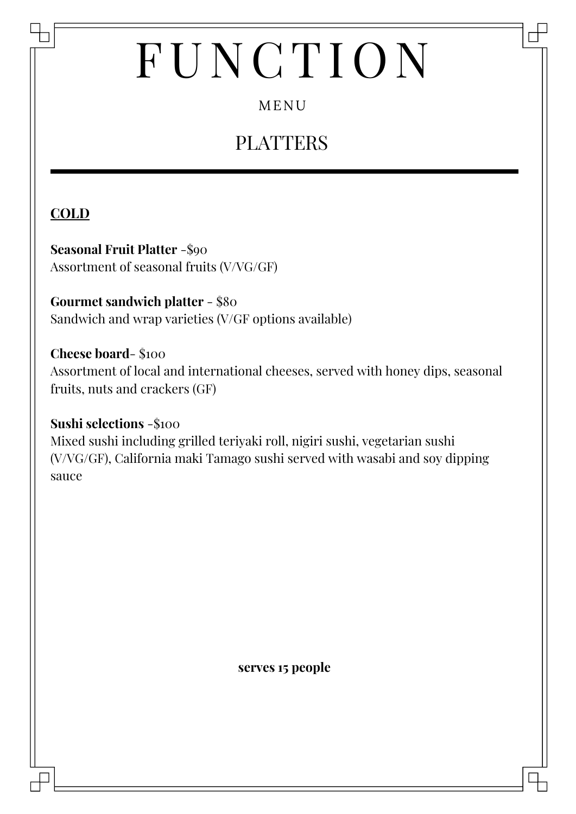## MENU

# PLATTERS

## **COLD**

**Seasonal Fruit Platter** -\$90 Assortment of seasonal fruits (V/VG/GF)

**Gourmet sandwich platter** - \$80 Sandwich and wrap varieties (V/GF options available)

**Cheese board**- \$100 Assortment of local and international cheeses, served with honey dips, seasonal fruits, nuts and crackers (GF)

**Sushi selections** -\$100 Mixed sushi including grilled teriyaki roll, nigiri sushi, vegetarian sushi (V/VG/GF), California maki Tamago sushi served with wasabi and soy dipping sauce

**serves 15 people**